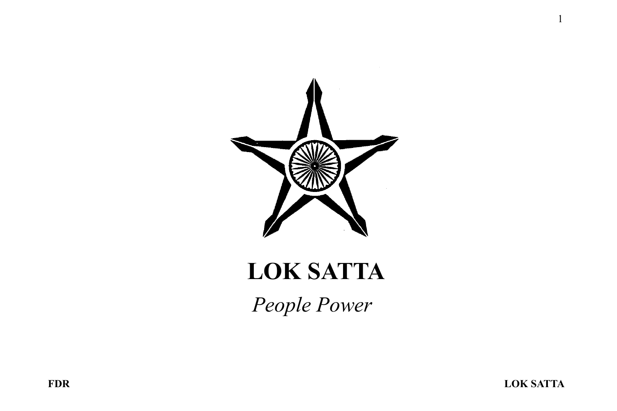

# LOK SATTA

*People Power*

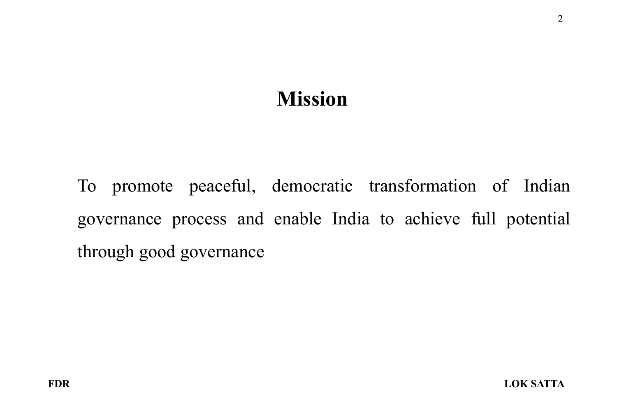#### Mission

To promote peaceful, democratic transformation of Indian governance process and enable India to achieve full potential through good governance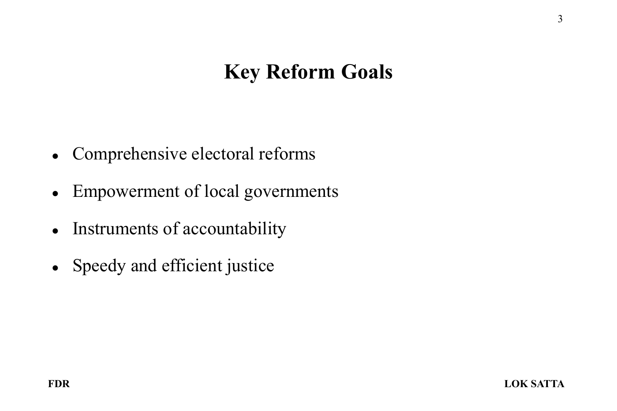### Key Reform Goals

- Comprehensive electoral reforms
- Empowerment of local governments
- Instruments of accountability
- Speedy and efficient justice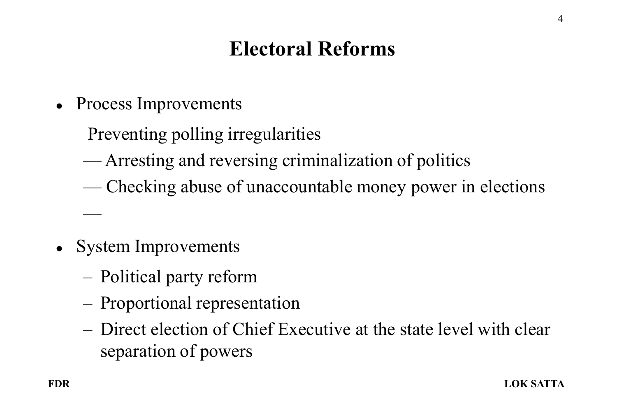## Electoral Reforms

- Process Improvements
	- Preventing polling irregularities
	- Arresting and reversing criminalization of politics
	- Checking abuse of unaccountable money power in elections
- System Improvements

—

- Political party reform
- Proportional representation
- Direct election of Chief Executive at the state level with clear separation of powers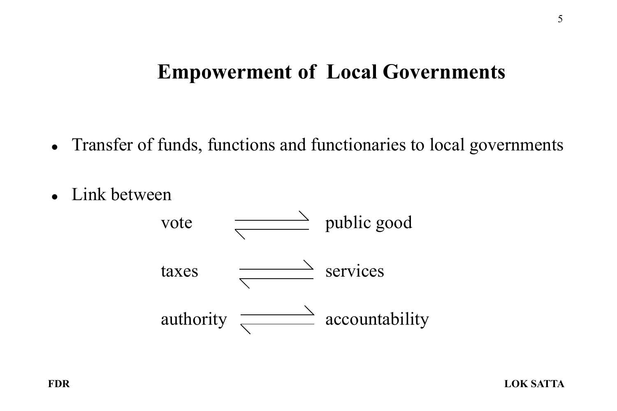#### Empowerment of Local Governments

- Transfer of funds, functions and functionaries to local governments
- Link between

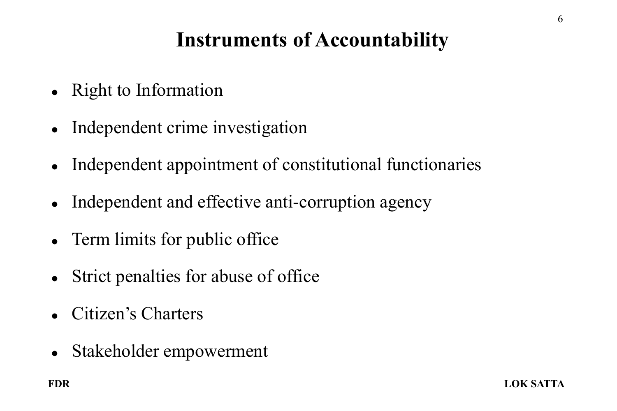## Instruments of Accountability

- Right to Information
- Independent crime investigation
- Independent appointment of constitutional functionaries
- Independent and effective anti-corruption agency
- Term limits for public office
- Strict penalties for abuse of office
- Citizen's Charters
- Stakeholder empowerment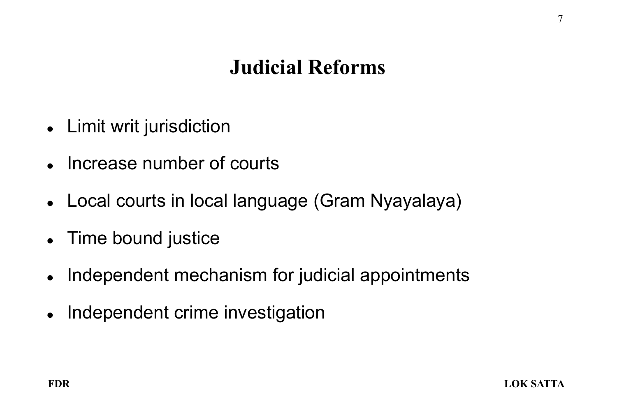### Judicial Reforms

- Limit writ jurisdiction
- Increase number of courts
- Local courts in local language (Gram Nyayalaya)
- Time bound justice
- Independent mechanism for judicial appointments
- Independent crime investigation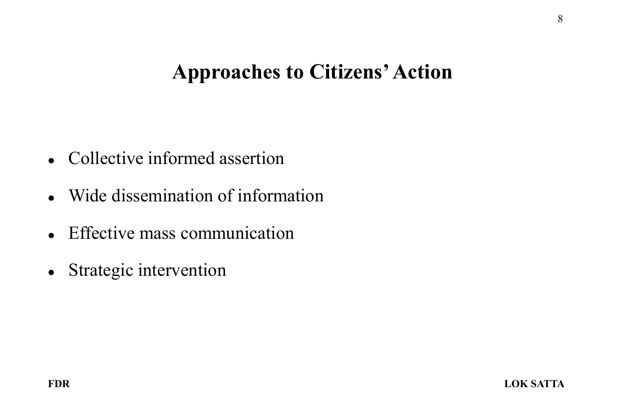#### Approaches to Citizens' Action

- Collective informed assertion
- Wide dissemination of information
- Effective mass communication
- Strategic intervention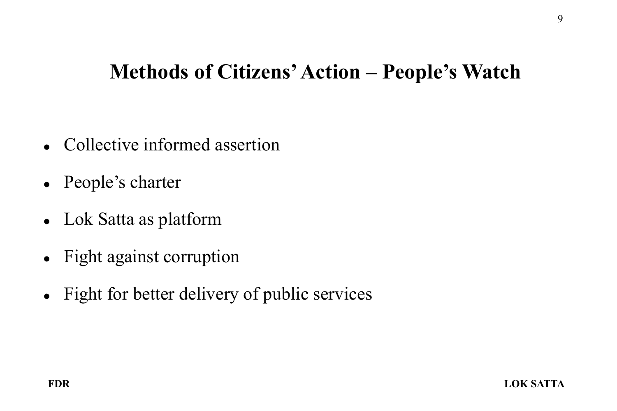#### Methods of Citizens' Action – People's Watch

- Collective informed assertion
- People's charter
- Lok Satta as platform
- Fight against corruption
- Fight for better delivery of public services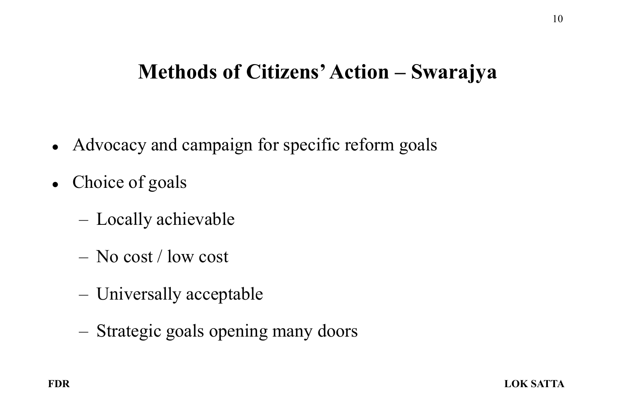#### Methods of Citizens' Action – Swarajya

- Advocacy and campaign for specific reform goals
- Choice of goals
	- Locally achievable
	- No cost / low cost
	- Universally acceptable
	- Strategic goals opening many doors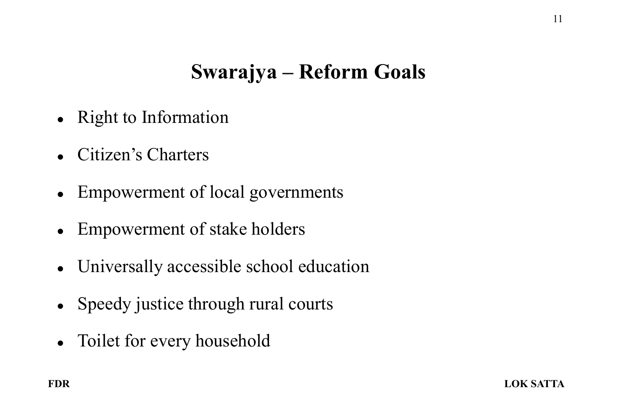## Swarajya – Reform Goals

- Right to Information
- Citizen's Charters
- Empowerment of local governments
- Empowerment of stake holders
- Universally accessible school education
- Speedy justice through rural courts
- Toilet for every household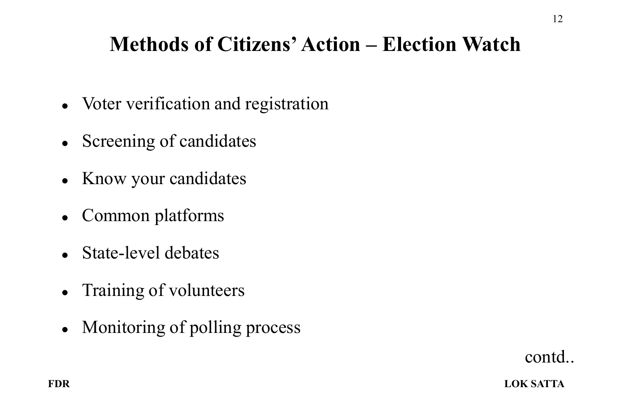## Methods of Citizens' Action – Election Watch

- Voter verification and registration
- Screening of candidates
- Know your candidates
- Common platforms
- State-level debates
- Training of volunteers
- Monitoring of polling process

contd..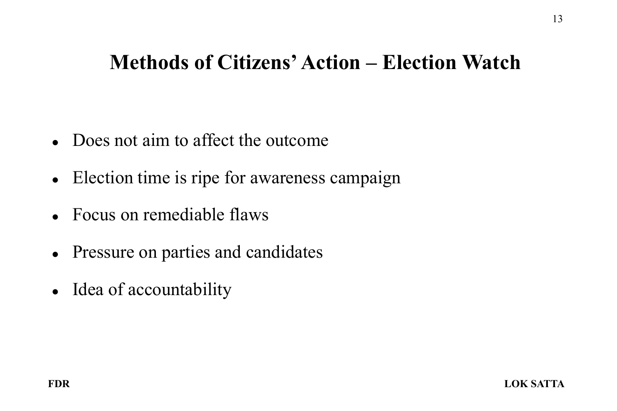#### Methods of Citizens' Action – Election Watch

- Does not aim to affect the outcome
- Election time is ripe for awareness campaign
- Focus on remediable flaws
- Pressure on parties and candidates
- Idea of accountability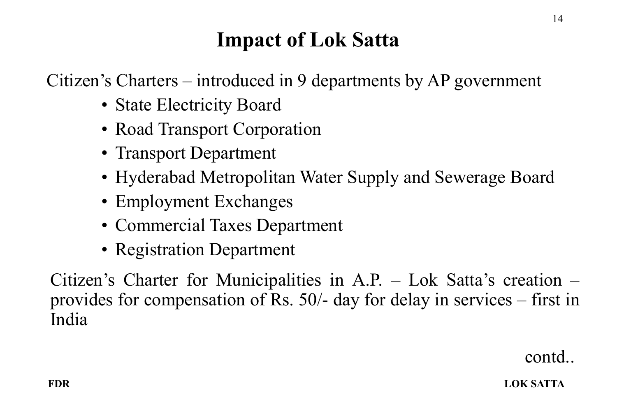Citizen's Charters – introduced in 9 departments by AP government

- State Electricity Board
- Road Transport Corporation
- Transport Department
- Hyderabad Metropolitan Water Supply and Sewerage Board
- Employment Exchanges
- Commercial Taxes Department
- Registration Department

Citizen's Charter for Municipalities in A.P. – Lok Satta's creation – provides for compensation of Rs. 50/- day for delay in services – first in India

contd..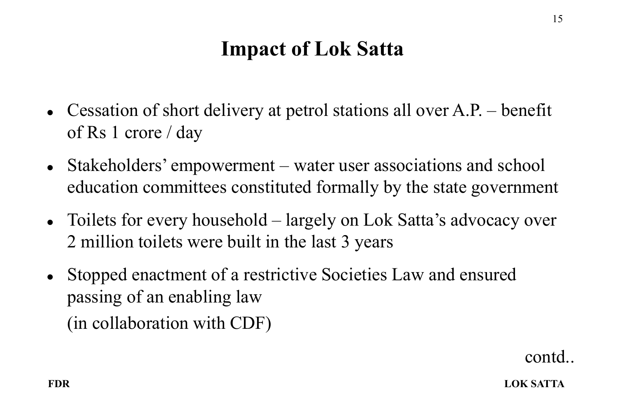- Cessation of short delivery at petrol stations all over A.P. benefit of Rs 1 crore / day
- Stakeholders' empowerment water user associations and school education committees constituted formally by the state government
- Toilets for every household largely on Lok Satta's advocacy over 2 million toilets were built in the last 3 years
- Stopped enactment of a restrictive Societies Law and ensured passing of an enabling law (in collaboration with CDF)

contd..

15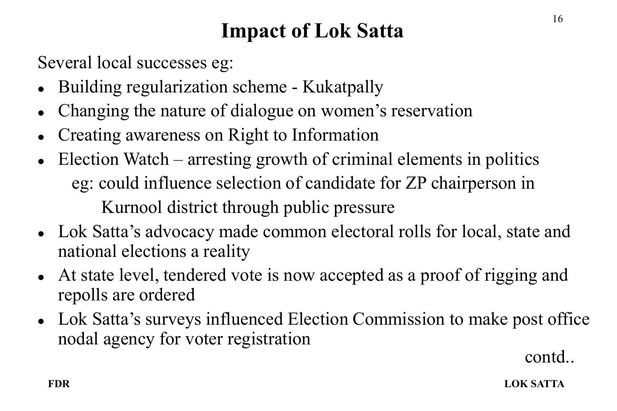Several local successes eg:

- Building regularization scheme Kukatpally
- Changing the nature of dialogue on women's reservation
- Creating awareness on Right to Information
- Election Watch arresting growth of criminal elements in politics eg: could influence selection of candidate for ZP chairperson in Kurnool district through public pressure
- Lok Satta's advocacy made common electoral rolls for local, state and national elections a reality
- At state level, tendered vote is now accepted as a proof of rigging and repolls are ordered
- Lok Satta's surveys influenced Election Commission to make post office nodal agency for voter registration

contd..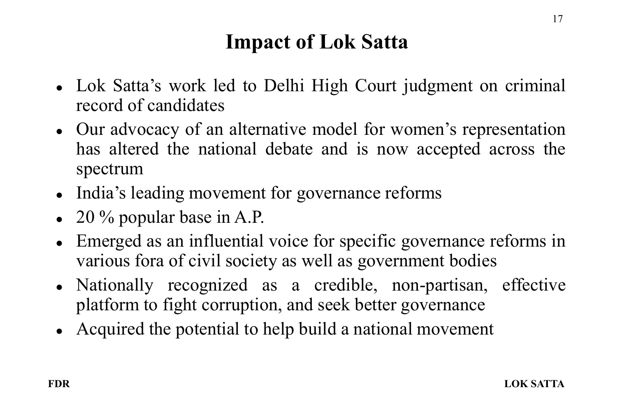- Lok Satta's work led to Delhi High Court judgment on criminal record of candidates
- Our advocacy of an alternative model for women's representation has altered the national debate and is now accepted across the spectrum
- India's leading movement for governance reforms
- $\bullet$  20 % popular base in A.P.
- Emerged as an influential voice for specific governance reforms in various fora of civil society as well as government bodies
- Nationally recognized as a credible, non-partisan, effective platform to fight corruption, and seek better governance
- Acquired the potential to help build a national movement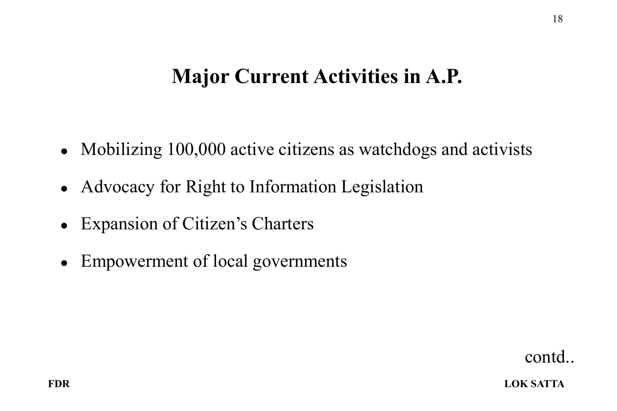#### Major Current Activities in A.P.

- Mobilizing 100,000 active citizens as watchdogs and activists
- Advocacy for Right to Information Legislation
- Expansion of Citizen's Charters
- Empowerment of local governments

contd..

FDR LOK SATTA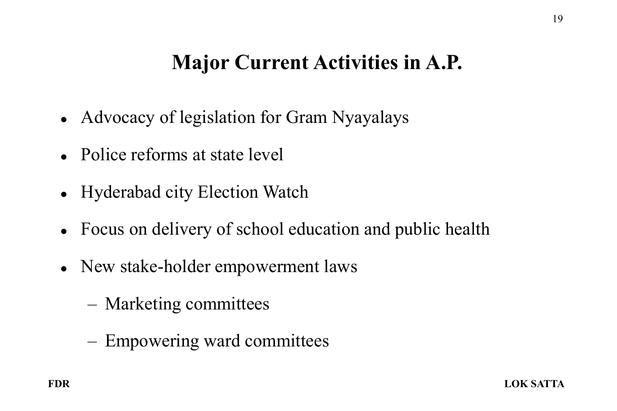### Major Current Activities in A.P.

- Advocacy of legislation for Gram Nyayalays
- Police reforms at state level
- Hyderabad city Election Watch
- Focus on delivery of school education and public health
- New stake-holder empowerment laws
	- Marketing committees
	- Empowering ward committees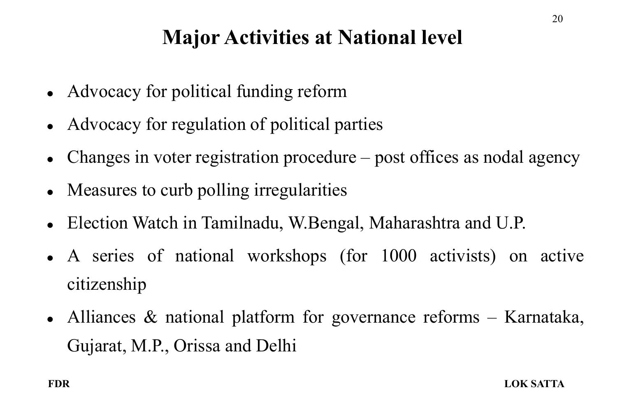## Major Activities at National level

- Advocacy for political funding reform
- Advocacy for regulation of political parties
- Changes in voter registration procedure post offices as nodal agency
- Measures to curb polling irregularities
- Election Watch in Tamilnadu, W.Bengal, Maharashtra and U.P.
- A series of national workshops (for 1000 activists) on active citizenship
- Alliances & national platform for governance reforms Karnataka, Gujarat, M.P., Orissa and Delhi